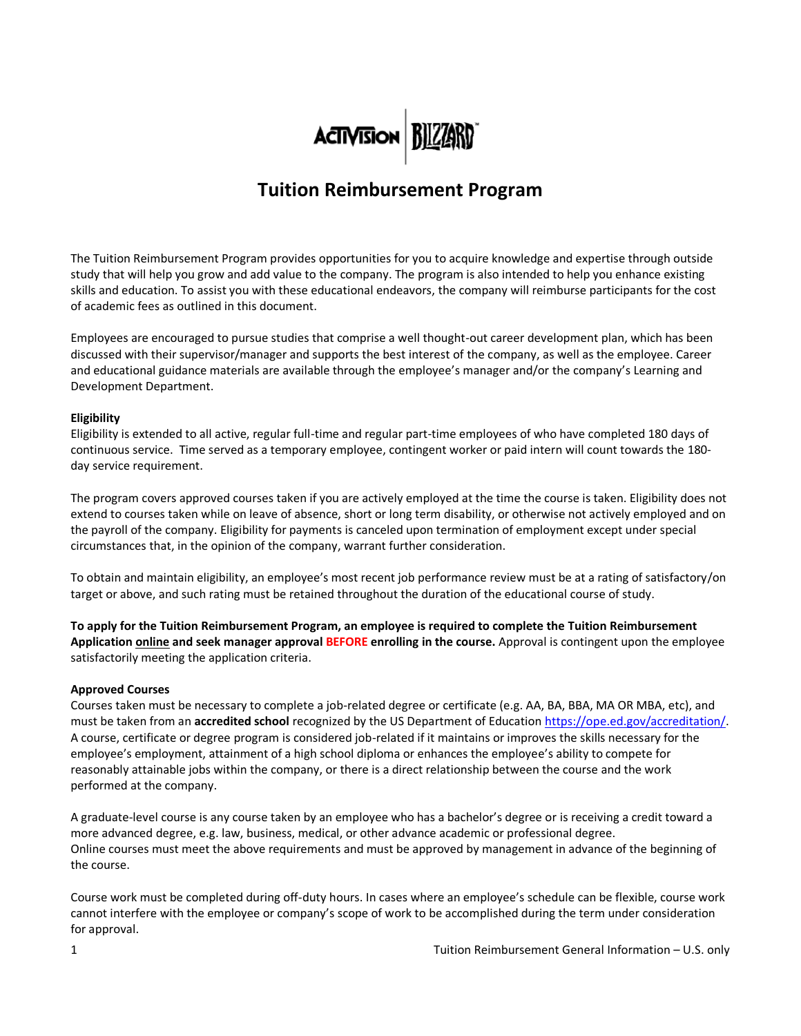

# **Tuition Reimbursement Program**

The Tuition Reimbursement Program provides opportunities for you to acquire knowledge and expertise through outside study that will help you grow and add value to the company. The program is also intended to help you enhance existing skills and education. To assist you with these educational endeavors, the company will reimburse participants for the cost of academic fees as outlined in this document.

Employees are encouraged to pursue studies that comprise a well thought-out career development plan, which has been discussed with their supervisor/manager and supports the best interest of the company, as well as the employee. Career and educational guidance materials are available through the employee's manager and/or the company's Learning and Development Department.

### **Eligibility**

Eligibility is extended to all active, regular full-time and regular part-time employees of who have completed 180 days of continuous service. Time served as a temporary employee, contingent worker or paid intern will count towards the 180 day service requirement.

The program covers approved courses taken if you are actively employed at the time the course is taken. Eligibility does not extend to courses taken while on leave of absence, short or long term disability, or otherwise not actively employed and on the payroll of the company. Eligibility for payments is canceled upon termination of employment except under special circumstances that, in the opinion of the company, warrant further consideration.

To obtain and maintain eligibility, an employee's most recent job performance review must be at a rating of satisfactory/on target or above, and such rating must be retained throughout the duration of the educational course of study.

**To apply for the Tuition Reimbursement Program, an employee is required to complete the Tuition Reimbursement Application online and seek manager approval BEFORE enrolling in the course.** Approval is contingent upon the employee satisfactorily meeting the application criteria.

#### **Approved Courses**

Courses taken must be necessary to complete a job-related degree or certificate (e.g. AA, BA, BBA, MA OR MBA, etc), and must be taken from an **accredited school** recognized by the US Department of Education [https://ope.ed.gov/accreditation/.](https://ope.ed.gov/accreditation/) A course, certificate or degree program is considered job-related if it maintains or improves the skills necessary for the employee's employment, attainment of a high school diploma or enhances the employee's ability to compete for reasonably attainable jobs within the company, or there is a direct relationship between the course and the work performed at the company.

A graduate-level course is any course taken by an employee who has a bachelor's degree or is receiving a credit toward a more advanced degree, e.g. law, business, medical, or other advance academic or professional degree. Online courses must meet the above requirements and must be approved by management in advance of the beginning of the course.

Course work must be completed during off-duty hours. In cases where an employee's schedule can be flexible, course work cannot interfere with the employee or company's scope of work to be accomplished during the term under consideration for approval.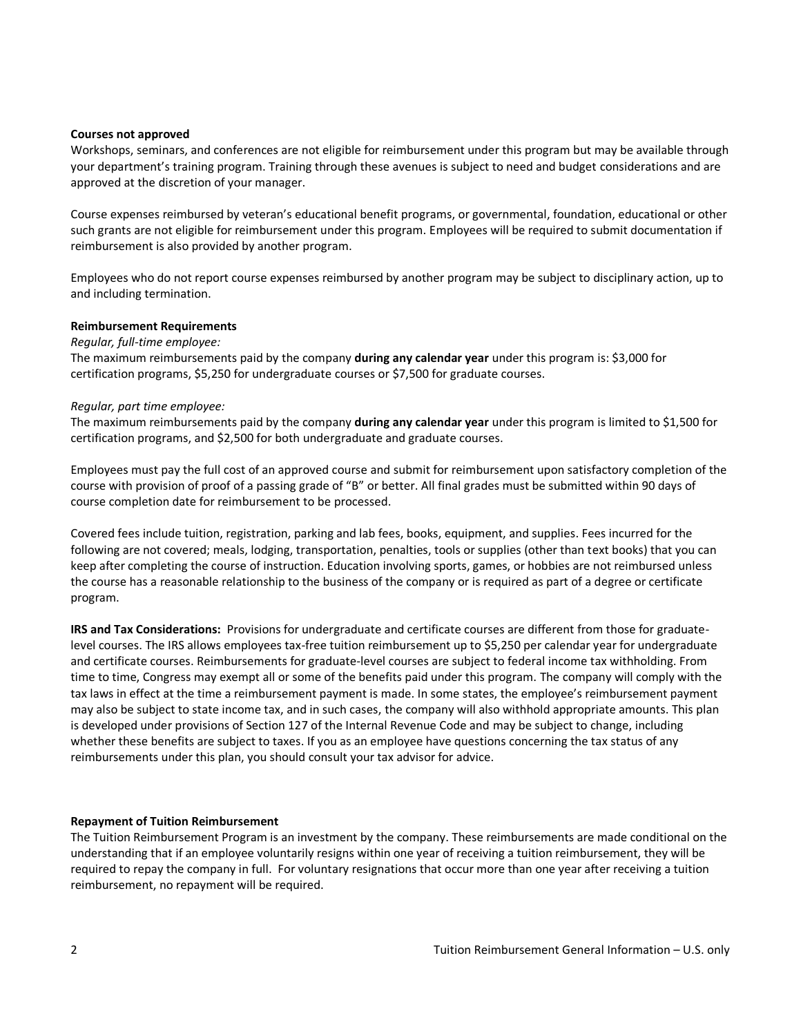#### **Courses not approved**

Workshops, seminars, and conferences are not eligible for reimbursement under this program but may be available through your department's training program. Training through these avenues is subject to need and budget considerations and are approved at the discretion of your manager.

Course expenses reimbursed by veteran's educational benefit programs, or governmental, foundation, educational or other such grants are not eligible for reimbursement under this program. Employees will be required to submit documentation if reimbursement is also provided by another program.

Employees who do not report course expenses reimbursed by another program may be subject to disciplinary action, up to and including termination.

#### **Reimbursement Requirements**

#### *Regular, full-time employee:*

The maximum reimbursements paid by the company **during any calendar year** under this program is: \$3,000 for certification programs, \$5,250 for undergraduate courses or \$7,500 for graduate courses.

#### *Regular, part time employee:*

The maximum reimbursements paid by the company **during any calendar year** under this program is limited to \$1,500 for certification programs, and \$2,500 for both undergraduate and graduate courses.

Employees must pay the full cost of an approved course and submit for reimbursement upon satisfactory completion of the course with provision of proof of a passing grade of "B" or better. All final grades must be submitted within 90 days of course completion date for reimbursement to be processed.

Covered fees include tuition, registration, parking and lab fees, books, equipment, and supplies. Fees incurred for the following are not covered; meals, lodging, transportation, penalties, tools or supplies (other than text books) that you can keep after completing the course of instruction. Education involving sports, games, or hobbies are not reimbursed unless the course has a reasonable relationship to the business of the company or is required as part of a degree or certificate program.

**IRS and Tax Considerations:** Provisions for undergraduate and certificate courses are different from those for graduatelevel courses. The IRS allows employees tax-free tuition reimbursement up to \$5,250 per calendar year for undergraduate and certificate courses. Reimbursements for graduate-level courses are subject to federal income tax withholding. From time to time, Congress may exempt all or some of the benefits paid under this program. The company will comply with the tax laws in effect at the time a reimbursement payment is made. In some states, the employee's reimbursement payment may also be subject to state income tax, and in such cases, the company will also withhold appropriate amounts. This plan is developed under provisions of Section 127 of the Internal Revenue Code and may be subject to change, including whether these benefits are subject to taxes. If you as an employee have questions concerning the tax status of any reimbursements under this plan, you should consult your tax advisor for advice.

### **Repayment of Tuition Reimbursement**

The Tuition Reimbursement Program is an investment by the company. These reimbursements are made conditional on the understanding that if an employee voluntarily resigns within one year of receiving a tuition reimbursement, they will be required to repay the company in full. For voluntary resignations that occur more than one year after receiving a tuition reimbursement, no repayment will be required.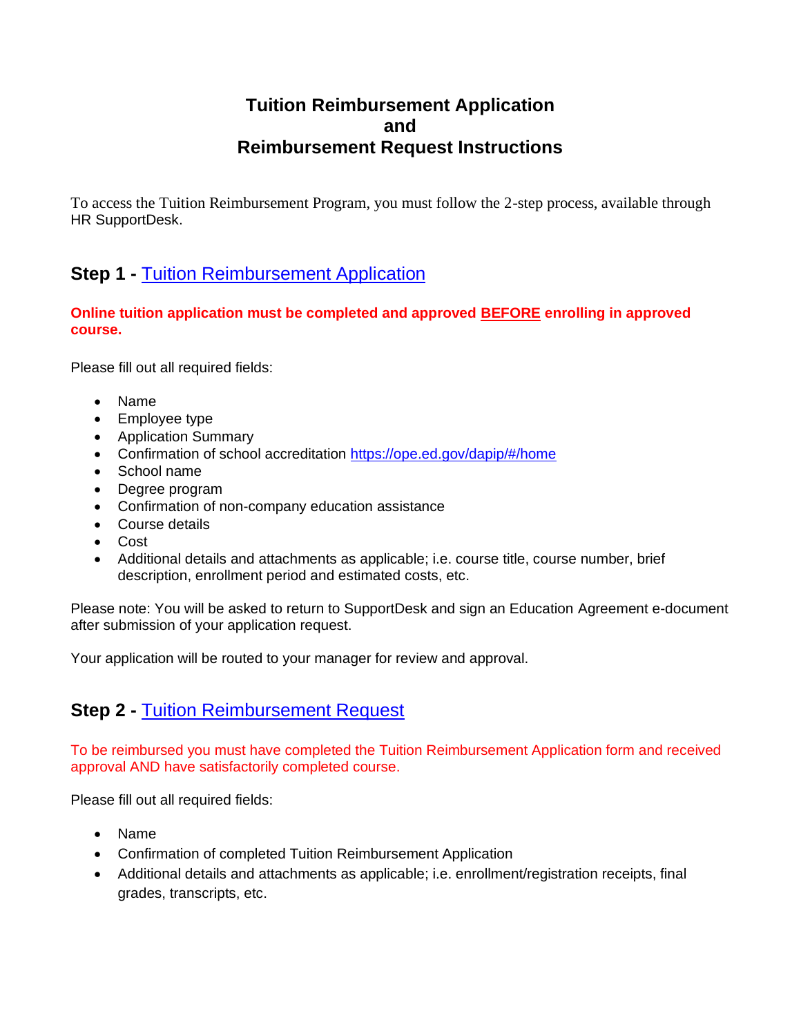## **Tuition Reimbursement Application and Reimbursement Request Instructions**

To access the Tuition Reimbursement Program, you must follow the 2-step process, available through HR SupportDesk.

## **Step 1 - [Tuition Reimbursement Application](https://atvi.service-now.com/gsd?id=sc_cat_item&sys_id=bfae0099530222003585c3c606dc3449)**

**Online tuition application must be completed and approved BEFORE enrolling in approved course.**

Please fill out all required fields:

- Name
- Employee type
- Application Summary
- Confirmation of school accreditation<https://ope.ed.gov/dapip/#/home>
- School name
- Degree program
- Confirmation of non-company education assistance
- Course details
- Cost
- Additional details and attachments as applicable; i.e. course title, course number, brief description, enrollment period and estimated costs, etc.

Please note: You will be asked to return to SupportDesk and sign an Education Agreement e-document after submission of your application request.

Your application will be routed to your manager for review and approval.

### **Step 2 -** [Tuition Reimbursement Request](https://atvi.service-now.com/gsd?id=sc_cat_item&sys_id=eb4db445db8ef0104f40d5cdd3961924)

To be reimbursed you must have completed the Tuition Reimbursement Application form and received approval AND have satisfactorily completed course.

Please fill out all required fields:

- Name
- Confirmation of completed Tuition Reimbursement Application
- Additional details and attachments as applicable; i.e. enrollment/registration receipts, final grades, transcripts, etc.